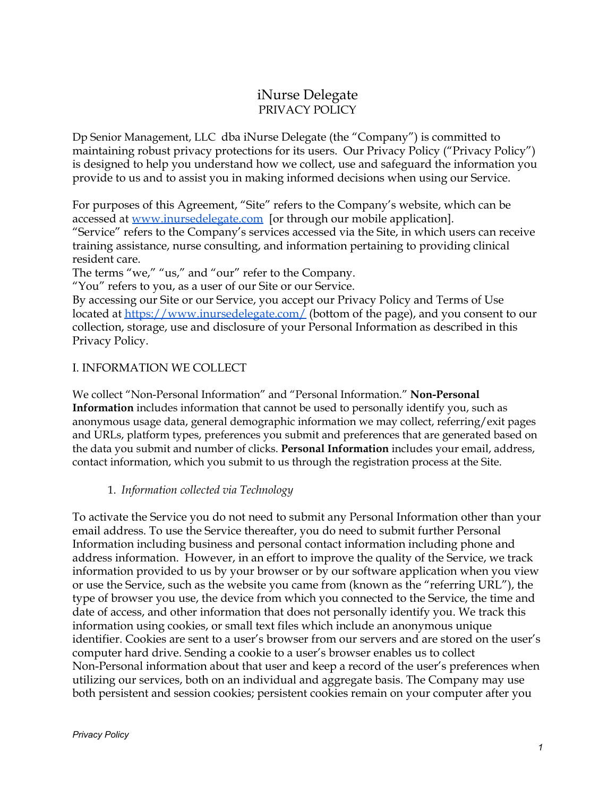# iNurse Delegate PRIVACY POLICY

Dp Senior Management, LLC dba iNurse Delegate (the "Company") is committed to maintaining robust privacy protections for its users. Our Privacy Policy ("Privacy Policy") is designed to help you understand how we collect, use and safeguard the information you provide to us and to assist you in making informed decisions when using our Service.

For purposes of this Agreement, "Site" refers to the Company's website, which can be accessed at [www.inursedelegate.com](http://www.inursedelegate.com/) [or through our mobile application]. "Service" refers to the Company's services accessed via the Site, in which users can receive training assistance, nurse consulting, and information pertaining to providing clinical resident care.

The terms "we," "us," and "our" refer to the Company.

"You" refers to you, as a user of our Site or our Service.

By accessing our Site or our Service, you accept our Privacy Policy and Terms of Use located at <https://www.inursedelegate.com/> (bottom of the page), and you consent to our collection, storage, use and disclosure of your Personal Information as described in this Privacy Policy.

#### I. INFORMATION WE COLLECT

We collect "Non-Personal Information" and "Personal Information." **Non-Personal Information** includes information that cannot be used to personally identify you, such as anonymous usage data, general demographic information we may collect, referring/exit pages and URLs, platform types, preferences you submit and preferences that are generated based on the data you submit and number of clicks. **Personal Information** includes your email, address, contact information, which you submit to us through the registration process at the Site.

#### 1. *Information collected via Technology*

To activate the Service you do not need to submit any Personal Information other than your email address. To use the Service thereafter, you do need to submit further Personal Information including business and personal contact information including phone and address information. However, in an effort to improve the quality of the Service, we track information provided to us by your browser or by our software application when you view or use the Service, such as the website you came from (known as the "referring URL"), the type of browser you use, the device from which you connected to the Service, the time and date of access, and other information that does not personally identify you. We track this information using cookies, or small text files which include an anonymous unique identifier. Cookies are sent to a user's browser from our servers and are stored on the user's computer hard drive. Sending a cookie to a user's browser enables us to collect Non-Personal information about that user and keep a record of the user's preferences when utilizing our services, both on an individual and aggregate basis. The Company may use both persistent and session cookies; persistent cookies remain on your computer after you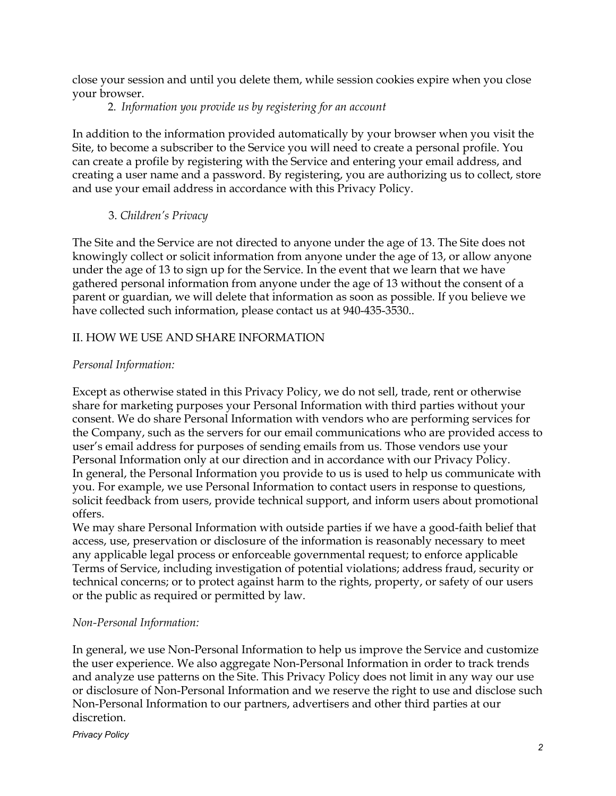close your session and until you delete them, while session cookies expire when you close your browser.

## 2. *Information you provide us by registering for an account*

In addition to the information provided automatically by your browser when you visit the Site, to become a subscriber to the Service you will need to create a personal profile. You can create a profile by registering with the Service and entering your email address, and creating a user name and a password. By registering, you are authorizing us to collect, store and use your email address in accordance with this Privacy Policy.

## 3. *Children's Privacy*

The Site and the Service are not directed to anyone under the age of 13. The Site does not knowingly collect or solicit information from anyone under the age of 13, or allow anyone under the age of 13 to sign up for the Service. In the event that we learn that we have gathered personal information from anyone under the age of 13 without the consent of a parent or guardian, we will delete that information as soon as possible. If you believe we have collected such information, please contact us at 940-435-3530..

## II. HOW WE USE AND SHARE INFORMATION

## *Personal Information:*

Except as otherwise stated in this Privacy Policy, we do not sell, trade, rent or otherwise share for marketing purposes your Personal Information with third parties without your consent. We do share Personal Information with vendors who are performing services for the Company, such as the servers for our email communications who are provided access to user's email address for purposes of sending emails from us. Those vendors use your Personal Information only at our direction and in accordance with our Privacy Policy. In general, the Personal Information you provide to us is used to help us communicate with you. For example, we use Personal Information to contact users in response to questions, solicit feedback from users, provide technical support, and inform users about promotional offers.

We may share Personal Information with outside parties if we have a good-faith belief that access, use, preservation or disclosure of the information is reasonably necessary to meet any applicable legal process or enforceable governmental request; to enforce applicable Terms of Service, including investigation of potential violations; address fraud, security or technical concerns; or to protect against harm to the rights, property, or safety of our users or the public as required or permitted by law.

#### *Non-Personal Information:*

In general, we use Non-Personal Information to help us improve the Service and customize the user experience. We also aggregate Non-Personal Information in order to track trends and analyze use patterns on the Site. This Privacy Policy does not limit in any way our use or disclosure of Non-Personal Information and we reserve the right to use and disclose such Non-Personal Information to our partners, advertisers and other third parties at our discretion.

*Privacy Policy*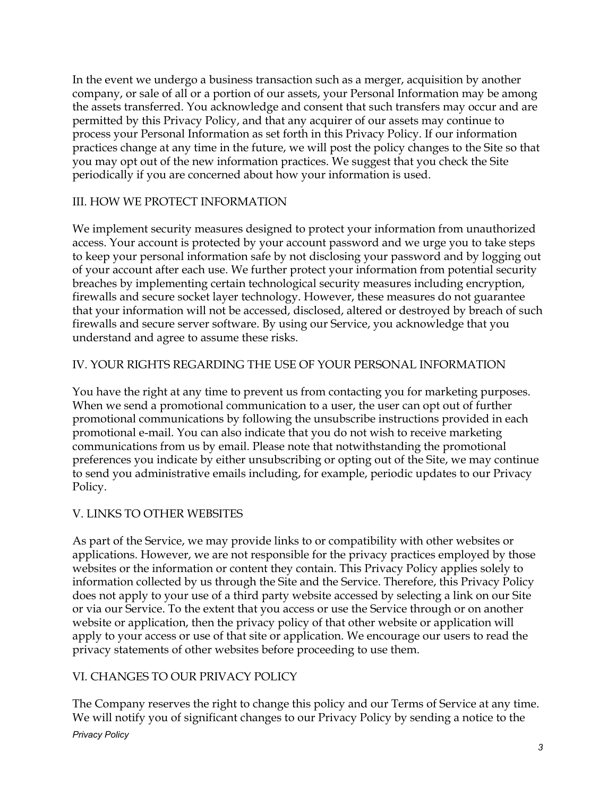In the event we undergo a business transaction such as a merger, acquisition by another company, or sale of all or a portion of our assets, your Personal Information may be among the assets transferred. You acknowledge and consent that such transfers may occur and are permitted by this Privacy Policy, and that any acquirer of our assets may continue to process your Personal Information as set forth in this Privacy Policy. If our information practices change at any time in the future, we will post the policy changes to the Site so that you may opt out of the new information practices. We suggest that you check the Site periodically if you are concerned about how your information is used.

#### III. HOW WE PROTECT INFORMATION

We implement security measures designed to protect your information from unauthorized access. Your account is protected by your account password and we urge you to take steps to keep your personal information safe by not disclosing your password and by logging out of your account after each use. We further protect your information from potential security breaches by implementing certain technological security measures including encryption, firewalls and secure socket layer technology. However, these measures do not guarantee that your information will not be accessed, disclosed, altered or destroyed by breach of such firewalls and secure server software. By using our Service, you acknowledge that you understand and agree to assume these risks.

#### IV. YOUR RIGHTS REGARDING THE USE OF YOUR PERSONAL INFORMATION

You have the right at any time to prevent us from contacting you for marketing purposes. When we send a promotional communication to a user, the user can opt out of further promotional communications by following the unsubscribe instructions provided in each promotional e-mail. You can also indicate that you do not wish to receive marketing communications from us by email. Please note that notwithstanding the promotional preferences you indicate by either unsubscribing or opting out of the Site, we may continue to send you administrative emails including, for example, periodic updates to our Privacy Policy.

## V. LINKS TO OTHER WEBSITES

As part of the Service, we may provide links to or compatibility with other websites or applications. However, we are not responsible for the privacy practices employed by those websites or the information or content they contain. This Privacy Policy applies solely to information collected by us through the Site and the Service. Therefore, this Privacy Policy does not apply to your use of a third party website accessed by selecting a link on our Site or via our Service. To the extent that you access or use the Service through or on another website or application, then the privacy policy of that other website or application will apply to your access or use of that site or application. We encourage our users to read the privacy statements of other websites before proceeding to use them.

## VI. CHANGES TO OUR PRIVACY POLICY

The Company reserves the right to change this policy and our Terms of Service at any time. We will notify you of significant changes to our Privacy Policy by sending a notice to the *Privacy Policy*